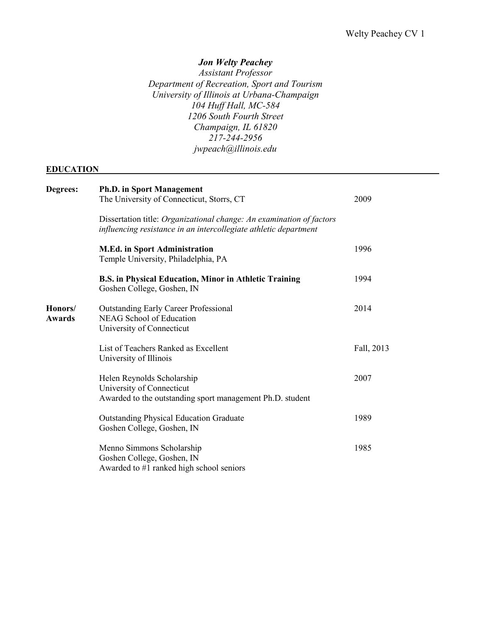## *Jon Welty Peachey*

*Assistant Professor Department of Recreation, Sport and Tourism University of Illinois at Urbana-Champaign 104 Huff Hall, MC-584 1206 South Fourth Street Champaign, IL 61820 217-244-2956 jwpeach@illinois.edu*

## **EDUCATION**

| Degrees:                 | <b>Ph.D. in Sport Management</b>                                                                                                         |            |
|--------------------------|------------------------------------------------------------------------------------------------------------------------------------------|------------|
|                          | The University of Connecticut, Storrs, CT                                                                                                | 2009       |
|                          | Dissertation title: Organizational change: An examination of factors<br>influencing resistance in an intercollegiate athletic department |            |
|                          | <b>M.Ed.</b> in Sport Administration<br>Temple University, Philadelphia, PA                                                              | 1996       |
|                          | <b>B.S. in Physical Education, Minor in Athletic Training</b><br>Goshen College, Goshen, IN                                              | 1994       |
| Honors/<br><b>Awards</b> | <b>Outstanding Early Career Professional</b><br><b>NEAG School of Education</b><br>University of Connecticut                             | 2014       |
|                          | List of Teachers Ranked as Excellent<br>University of Illinois                                                                           | Fall, 2013 |
|                          | Helen Reynolds Scholarship<br>University of Connecticut<br>Awarded to the outstanding sport management Ph.D. student                     | 2007       |
|                          | <b>Outstanding Physical Education Graduate</b><br>Goshen College, Goshen, IN                                                             | 1989       |
|                          | Menno Simmons Scholarship<br>Goshen College, Goshen, IN<br>Awarded to #1 ranked high school seniors                                      | 1985       |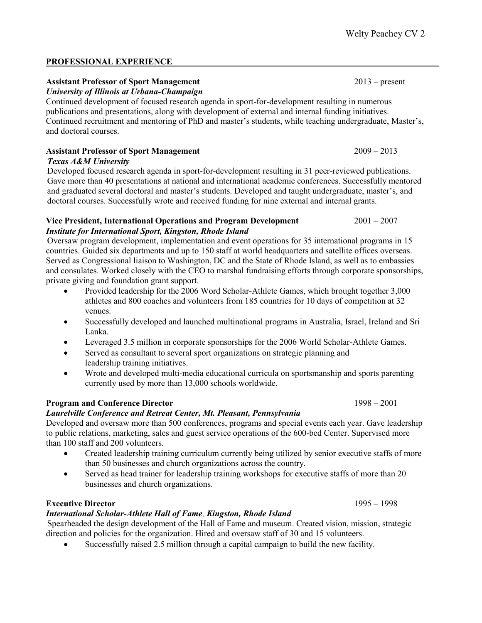## **PROFESSIONAL EXPERIENCE**

# **Assistant Professor of Sport Management** 2013 – present

*University of Illinois at Urbana-Champaign*

Continued development of focused research agenda in sport-for-development resulting in numerous publications and presentations, along with development of external and internal funding initiatives. Continued recruitment and mentoring of PhD and master's students, while teaching undergraduate, Master's, and doctoral courses.

## **Assistant Professor of Sport Management** 2009 – 2013

*Texas A&M University*

Developed focused research agenda in sport-for-development resulting in 31 peer-reviewed publications. Gave more than 40 presentations at national and international academic conferences. Successfully mentored and graduated several doctoral and master's students. Developed and taught undergraduate, master's, and doctoral courses. Successfully wrote and received funding for nine external and internal grants.

## **Vice President, International Operations and Program Development** 2001 – 2007 *Institute for International Sport, Kingston, Rhode Island*

Oversaw program development, implementation and event operations for 35 international programs in 15 countries. Guided six departments and up to 150 staff at world headquarters and satellite offices overseas. Served as Congressional liaison to Washington, DC and the State of Rhode Island, as well as to embassies and consulates. Worked closely with the CEO to marshal fundraising efforts through corporate sponsorships, private giving and foundation grant support.

- Provided leadership for the 2006 Word Scholar-Athlete Games, which brought together 3,000 athletes and 800 coaches and volunteers from 185 countries for 10 days of competition at 32 venues.
- Successfully developed and launched multinational programs in Australia, Israel, Ireland and Sri Lanka.
- Leveraged 3.5 million in corporate sponsorships for the 2006 World Scholar-Athlete Games.
- Served as consultant to several sport organizations on strategic planning and leadership training initiatives.
- Wrote and developed multi-media educational curricula on sportsmanship and sports parenting currently used by more than 13,000 schools worldwide.

# **Program and Conference Director** 1998 – 2001

## *Laurelville Conference and Retreat Center, Mt. Pleasant, Pennsylvania*

Developed and oversaw more than 500 conferences, programs and special events each year. Gave leadership to public relations, marketing, sales and guest service operations of the 600-bed Center. Supervised more than 100 staff and 200 volunteers.

- Created leadership training curriculum currently being utilized by senior executive staffs of more than 50 businesses and church organizations across the country.
- Served as head trainer for leadership training workshops for executive staffs of more than 20 businesses and church organizations.

# **Executive Director** 1995 – 1998

# *International Scholar-Athlete Hall of Fame, Kingston, Rhode Island*

Spearheaded the design development of the Hall of Fame and museum. Created vision, mission, strategic direction and policies for the organization. Hired and oversaw staff of 30 and 15 volunteers.

Successfully raised 2.5 million through a capital campaign to build the new facility.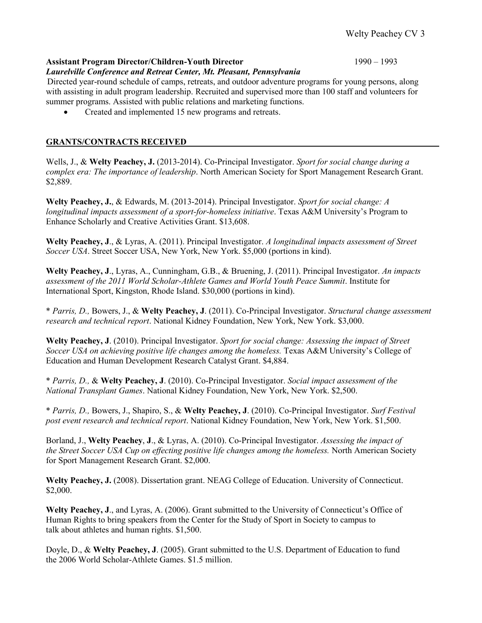#### **Assistant Program Director/Children-Youth Director** 1990 – 1993

#### *Laurelville Conference and Retreat Center, Mt. Pleasant, Pennsylvania*

Directed year-round schedule of camps, retreats, and outdoor adventure programs for young persons, along with assisting in adult program leadership. Recruited and supervised more than 100 staff and volunteers for summer programs. Assisted with public relations and marketing functions.

Created and implemented 15 new programs and retreats.

## **GRANTS/CONTRACTS RECEIVED**

Wells, J., & **Welty Peachey, J.** (2013-2014). Co-Principal Investigator. *Sport for social change during a complex era: The importance of leadership*. North American Society for Sport Management Research Grant. \$2,889.

**Welty Peachey, J.**, & Edwards, M. (2013-2014). Principal Investigator. *Sport for social change: A longitudinal impacts assessment of a sport-for-homeless initiative*. Texas A&M University's Program to Enhance Scholarly and Creative Activities Grant. \$13,608.

**Welty Peachey, J**., & Lyras, A. (2011). Principal Investigator. *A longitudinal impacts assessment of Street Soccer USA*. Street Soccer USA, New York, New York. \$5,000 (portions in kind).

**Welty Peachey, J**., Lyras, A., Cunningham, G.B., & Bruening, J. (2011). Principal Investigator. *An impacts assessment of the 2011 World Scholar-Athlete Games and World Youth Peace Summit*. Institute for International Sport, Kingston, Rhode Island. \$30,000 (portions in kind).

\* *Parris, D.,* Bowers, J., & **Welty Peachey, J**. (2011). Co-Principal Investigator. *Structural change assessment research and technical report*. National Kidney Foundation, New York, New York. \$3,000.

**Welty Peachey, J**. (2010). Principal Investigator. *Sport for social change: Assessing the impact of Street Soccer USA on achieving positive life changes among the homeless.* Texas A&M University's College of Education and Human Development Research Catalyst Grant. \$4,884.

\* *Parris, D.,* & **Welty Peachey, J**. (2010). Co-Principal Investigator. *Social impact assessment of the National Transplant Games*. National Kidney Foundation, New York, New York. \$2,500.

\* *Parris, D.,* Bowers, J., Shapiro, S., & **Welty Peachey, J**. (2010). Co-Principal Investigator. *Surf Festival post event research and technical report*. National Kidney Foundation, New York, New York. \$1,500.

Borland, J., **Welty Peachey**, **J**., & Lyras, A. (2010). Co-Principal Investigator. *Assessing the impact of the Street Soccer USA Cup on effecting positive life changes among the homeless.* North American Society for Sport Management Research Grant. \$2,000.

Welty Peachey, J. (2008). Dissertation grant. NEAG College of Education. University of Connecticut. \$2,000.

**Welty Peachey, J**., and Lyras, A. (2006). Grant submitted to the University of Connecticut's Office of Human Rights to bring speakers from the Center for the Study of Sport in Society to campus to talk about athletes and human rights. \$1,500.

Doyle, D., & **Welty Peachey, J**. (2005). Grant submitted to the U.S. Department of Education to fund the 2006 World Scholar-Athlete Games. \$1.5 million.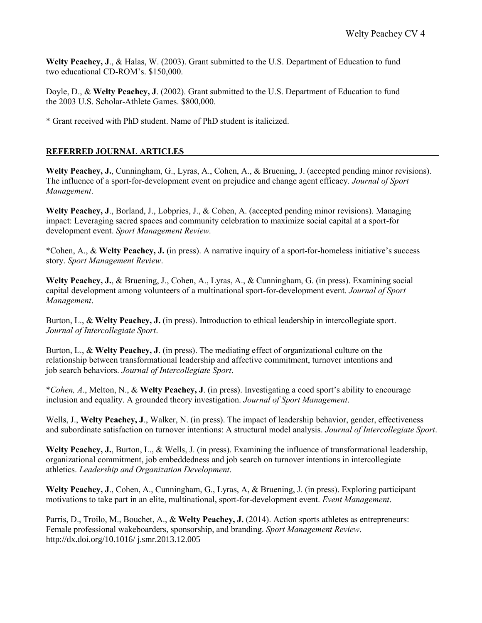**Welty Peachey, J**., & Halas, W. (2003). Grant submitted to the U.S. Department of Education to fund two educational CD-ROM's. \$150,000.

Doyle, D., & **Welty Peachey, J**. (2002). Grant submitted to the U.S. Department of Education to fund the 2003 U.S. Scholar-Athlete Games. \$800,000.

\* Grant received with PhD student. Name of PhD student is italicized.

## **REFERRED JOURNAL ARTICLES**

**Welty Peachey, J.**, Cunningham, G., Lyras, A., Cohen, A., & Bruening, J. (accepted pending minor revisions). The influence of a sport-for-development event on prejudice and change agent efficacy. *Journal of Sport Management*.

**Welty Peachey, J**., Borland, J., Lobpries, J., & Cohen, A. (accepted pending minor revisions). Managing impact: Leveraging sacred spaces and community celebration to maximize social capital at a sport-for development event. *Sport Management Review.*

\*Cohen, A., & **Welty Peachey, J.** (in press). A narrative inquiry of a sport-for-homeless initiative's success story. *Sport Management Review*.

**Welty Peachey, J.**, & Bruening, J., Cohen, A., Lyras, A., & Cunningham, G. (in press). Examining social capital development among volunteers of a multinational sport-for-development event. *Journal of Sport Management*.

Burton, L., & Welty Peachey, J. (in press). Introduction to ethical leadership in intercollegiate sport. *Journal of Intercollegiate Sport*.

Burton, L., & **Welty Peachey, J**. (in press). The mediating effect of organizational culture on the relationship between transformational leadership and affective commitment, turnover intentions and job search behaviors. *Journal of Intercollegiate Sport*.

\**Cohen, A*., Melton, N., & **Welty Peachey, J**. (in press). Investigating a coed sport's ability to encourage inclusion and equality. A grounded theory investigation. *Journal of Sport Management*.

Wells, J., **Welty Peachey, J**., Walker, N. (in press). The impact of leadership behavior, gender, effectiveness and subordinate satisfaction on turnover intentions: A structural model analysis. *Journal of Intercollegiate Sport*.

**Welty Peachey, J.**, Burton, L., & Wells, J. (in press). Examining the influence of transformational leadership, organizational commitment, job embeddedness and job search on turnover intentions in intercollegiate athletics. *Leadership and Organization Development*.

**Welty Peachey, J**., Cohen, A., Cunningham, G., Lyras, A, & Bruening, J. (in press). Exploring participant motivations to take part in an elite, multinational, sport-for-development event. *Event Management*.

Parris, D., Troilo, M., Bouchet, A., & **Welty Peachey, J.** (2014). Action sports athletes as entrepreneurs: Female professional wakeboarders, sponsorship, and branding. *Sport Management Review*. http://dx.doi.org/10.1016/ j.smr.2013.12.005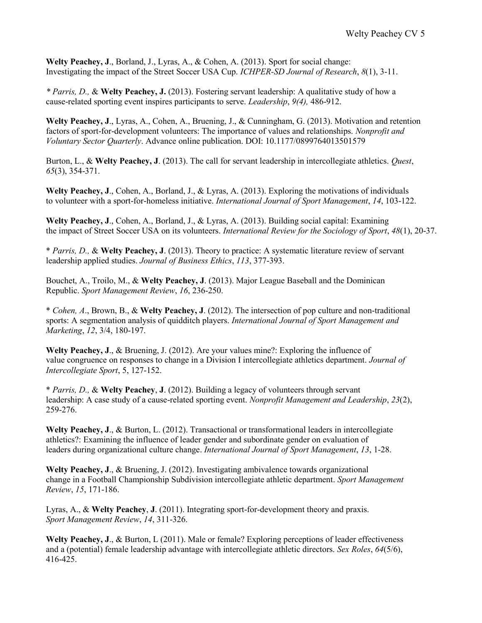**Welty Peachey, J**., Borland, J., Lyras, A., & Cohen, A. (2013). Sport for social change: Investigating the impact of the Street Soccer USA Cup. *ICHPER-SD Journal of Research*, *8*(1), 3-11.

*\* Parris, D.,* & **Welty Peachey, J.** (2013). Fostering servant leadership: A qualitative study of how a cause-related sporting event inspires participants to serve. *Leadership*, *9(4),* 486-912.

**Welty Peachey, J**., Lyras, A., Cohen, A., Bruening, J., & Cunningham, G. (2013). Motivation and retention factors of sport-for-development volunteers: The importance of values and relationships. *Nonprofit and Voluntary Sector Quarterly*. Advance online publication. DOI: 10.1177/0899764013501579

Burton, L., & **Welty Peachey, J**. (2013). The call for servant leadership in intercollegiate athletics. *Quest*, *65*(3), 354-371.

**Welty Peachey, J**., Cohen, A., Borland, J., & Lyras, A. (2013). Exploring the motivations of individuals to volunteer with a sport-for-homeless initiative. *International Journal of Sport Management*, *14*, 103-122.

**Welty Peachey, J**., Cohen, A., Borland, J., & Lyras, A. (2013). Building social capital: Examining the impact of Street Soccer USA on its volunteers. *International Review for the Sociology of Sport*, *48*(1), 20-37.

\* *Parris, D.,* & **Welty Peachey, J**. (2013). Theory to practice: A systematic literature review of servant leadership applied studies. *Journal of Business Ethics*, *113*, 377-393.

Bouchet, A., Troilo, M., & **Welty Peachey, J**. (2013). Major League Baseball and the Dominican Republic. *Sport Management Review*, *16*, 236-250.

\* *Cohen, A*., Brown, B., & **Welty Peachey, J**. (2012). The intersection of pop culture and non-traditional sports: A segmentation analysis of quidditch players. *International Journal of Sport Management and Marketing*, *12*, 3/4, 180-197.

**Welty Peachey, J**., & Bruening, J. (2012). Are your values mine?: Exploring the influence of value congruence on responses to change in a Division I intercollegiate athletics department. *Journal of Intercollegiate Sport*, 5, 127-152.

\* *Parris, D.,* & **Welty Peachey**, **J**. (2012). Building a legacy of volunteers through servant leadership: A case study of a cause-related sporting event. *Nonprofit Management and Leadership*, *23*(2), 259-276.

**Welty Peachey, J**., & Burton, L. (2012). Transactional or transformational leaders in intercollegiate athletics?: Examining the influence of leader gender and subordinate gender on evaluation of leaders during organizational culture change. *International Journal of Sport Management*, *13*, 1-28.

**Welty Peachey, J**., & Bruening, J. (2012). Investigating ambivalence towards organizational change in a Football Championship Subdivision intercollegiate athletic department. *Sport Management Review*, *15*, 171-186.

Lyras, A., & **Welty Peachey**, **J**. (2011). Integrating sport-for-development theory and praxis. *Sport Management Review*, *14*, 311-326.

**Welty Peachey, J**., & Burton, L (2011). Male or female? Exploring perceptions of leader effectiveness and a (potential) female leadership advantage with intercollegiate athletic directors. *Sex Roles*, *64*(5/6), 416-425.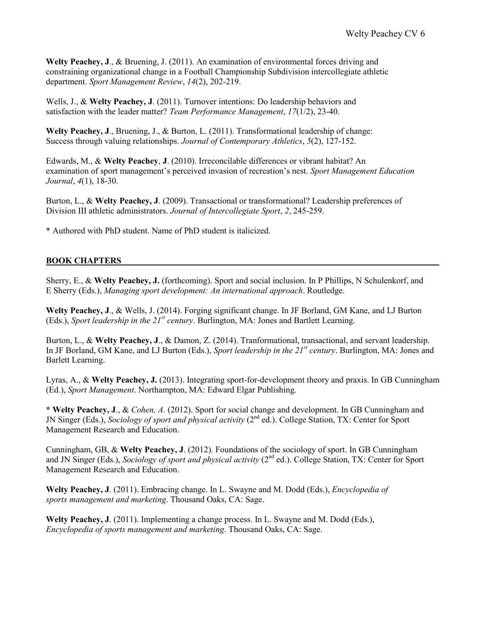**Welty Peachey, J**., & Bruening, J. (2011). An examination of environmental forces driving and constraining organizational change in a Football Championship Subdivision intercollegiate athletic department. *Sport Management Review*, *14*(2), 202-219.

Wells, J., & **Welty Peachey, J**. (2011). Turnover intentions: Do leadership behaviors and satisfaction with the leader matter? *Team Performance Management*, *17*(1/2), 23-40.

**Welty Peachey, J**., Bruening, J., & Burton, L. (2011). Transformational leadership of change: Success through valuing relationships. *Journal of Contemporary Athletics*, *5*(2), 127-152.

Edwards, M., & **Welty Peachey**, **J**. (2010). Irreconcilable differences or vibrant habitat? An examination of sport management's perceived invasion of recreation's nest. *Sport Management Education Journal*, *4*(1), 18-30.

Burton, L., & **Welty Peachey, J**. (2009). Transactional or transformational? Leadership preferences of Division III athletic administrators. *Journal of Intercollegiate Sport*, *2*, 245-259.

\* Authored with PhD student. Name of PhD student is italicized.

#### **BOOK CHAPTERS**

Sherry, E., & **Welty Peachey, J.** (forthcoming). Sport and social inclusion. In P Phillips, N Schulenkorf, and E Sherry (Eds.), *Managing sport development: An international approach*. Routledge.

**Welty Peachey, J**., & Wells, J. (2014). Forging significant change. In JF Borland, GM Kane, and LJ Burton (Eds.), *Sport leadership in the 21st century*. Burlington, MA: Jones and Bartlett Learning.

Burton, L., & **Welty Peachey, J**., & Damon, Z. (2014). Tranformational, transactional, and servant leadership. In JF Borland, GM Kane, and LJ Burton (Eds.), *Sport leadership in the 21st century*. Burlington, MA: Jones and Barlett Learning.

Lyras, A., & **Welty Peachey, J.** (2013). Integrating sport-for-development theory and praxis. In GB Cunningham (Ed.), *Sport Management*. Northampton, MA: Edward Elgar Publishing.

**\* Welty Peachey, J**., & *Cohen, A.* (2012). Sport for social change and development. In GB Cunningham and JN Singer (Eds.), *Sociology of sport and physical activity* (2nd ed.). College Station, TX: Center for Sport Management Research and Education.

Cunningham, GB, & **Welty Peachey, J**. (2012). Foundations of the sociology of sport. In GB Cunningham and JN Singer (Eds.), *Sociology of sport and physical activity* (2<sup>nd</sup> ed.). College Station, TX: Center for Sport Management Research and Education.

**Welty Peachey, J**. (2011). Embracing change. In L. Swayne and M. Dodd (Eds.), *Encyclopedia of sports management and marketing*. Thousand Oaks, CA: Sage.

**Welty Peachey, J**. (2011). Implementing a change process. In L. Swayne and M. Dodd (Eds.), *Encyclopedia of sports management and marketing*. Thousand Oaks, CA: Sage.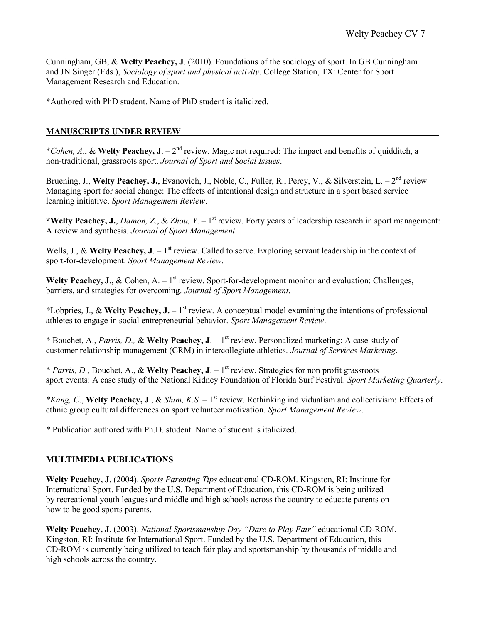Cunningham, GB, & **Welty Peachey, J**. (2010). Foundations of the sociology of sport. In GB Cunningham and JN Singer (Eds.), *Sociology of sport and physical activity*. College Station, TX: Center for Sport Management Research and Education.

\*Authored with PhD student. Name of PhD student is italicized.

## **MANUSCRIPTS UNDER REVIEW**

\**Cohen, A*., & **Welty Peachey, J**. – 2 nd review. Magic not required: The impact and benefits of quidditch, a non-traditional, grassroots sport. *Journal of Sport and Social Issues*.

Bruening, J., Welty Peachey, J., Evanovich, J., Noble, C., Fuller, R., Percy, V., & Silverstein, L. - 2<sup>nd</sup> review Managing sport for social change: The effects of intentional design and structure in a sport based service learning initiative. *Sport Management Review*.

\*Welty Peachey, J., *Damon, Z., & Zhou, Y.* – 1<sup>st</sup> review. Forty years of leadership research in sport management: A review and synthesis. *Journal of Sport Management*.

Wells, J., & Welty Peachey, J.  $-1^{st}$  review. Called to serve. Exploring servant leadership in the context of sport-for-development. *Sport Management Review*.

**Welty Peachey, J., & Cohen, A.**  $-1^{st}$  review. Sport-for-development monitor and evaluation: Challenges, barriers, and strategies for overcoming. *Journal of Sport Management*.

\*Lobpries, J.,  $\&$  Welty Peachey, J. – 1<sup>st</sup> review. A conceptual model examining the intentions of professional athletes to engage in social entrepreneurial behavior. *Sport Management Review*.

\* Bouchet, A., *Parris, D.,* & **Welty Peachey, J**. **–** 1 st review. Personalized marketing: A case study of customer relationship management (CRM) in intercollegiate athletics. *Journal of Services Marketing*.

\* *Parris, D.,* Bouchet, A., & **Welty Peachey, J**. – 1 st review. Strategies for non profit grassroots sport events: A case study of the National Kidney Foundation of Florida Surf Festival. *Sport Marketing Quarterly*.

*\*Kang, C*., **Welty Peachey, J**., & *Shim, K.S. –* 1 st review. Rethinking individualism and collectivism: Effects of ethnic group cultural differences on sport volunteer motivation. *Sport Management Review*.

*\** Publication authored with Ph.D. student. Name of student is italicized.

## **MULTIMEDIA PUBLICATIONS**

**Welty Peachey, J**. (2004). *Sports Parenting Tips* educational CD-ROM. Kingston, RI: Institute for International Sport. Funded by the U.S. Department of Education, this CD-ROM is being utilized by recreational youth leagues and middle and high schools across the country to educate parents on how to be good sports parents.

**Welty Peachey, J**. (2003). *National Sportsmanship Day "Dare to Play Fair"* educational CD-ROM. Kingston, RI: Institute for International Sport. Funded by the U.S. Department of Education, this CD-ROM is currently being utilized to teach fair play and sportsmanship by thousands of middle and high schools across the country.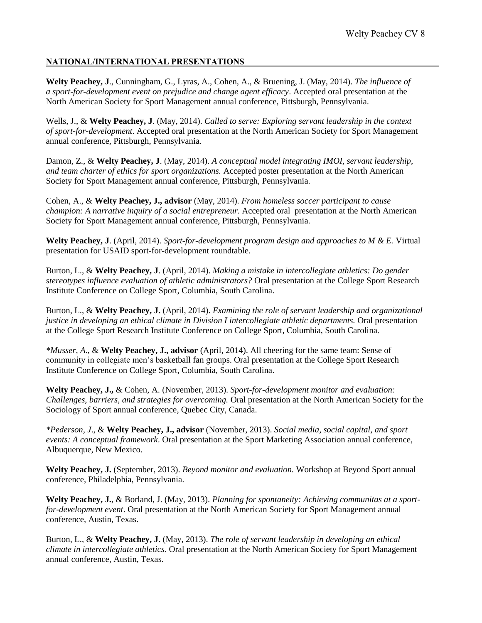### **NATIONAL/INTERNATIONAL PRESENTATIONS**

**Welty Peachey, J**., Cunningham, G., Lyras, A., Cohen, A., & Bruening, J. (May, 2014). *The influence of a sport-for-development event on prejudice and change agent efficacy*. Accepted oral presentation at the North American Society for Sport Management annual conference, Pittsburgh, Pennsylvania.

Wells, J., & **Welty Peachey, J**. (May, 2014). *Called to serve: Exploring servant leadership in the context of sport-for-development*. Accepted oral presentation at the North American Society for Sport Management annual conference, Pittsburgh, Pennsylvania.

Damon, Z., & **Welty Peachey, J**. (May, 2014). *A conceptual model integrating IMOI, servant leadership, and team charter of ethics for sport organizations.* Accepted poster presentation at the North American Society for Sport Management annual conference, Pittsburgh, Pennsylvania.

Cohen, A., & **Welty Peachey, J., advisor** (May, 2014). *From homeless soccer participant to cause champion: A narrative inquiry of a social entrepreneur*. Accepted oral presentation at the North American Society for Sport Management annual conference, Pittsburgh, Pennsylvania.

**Welty Peachey, J**. (April, 2014). *Sport-for-development program design and approaches to M & E.* Virtual presentation for USAID sport-for-development roundtable.

Burton, L., & **Welty Peachey, J**. (April, 2014). *Making a mistake in intercollegiate athletics: Do gender stereotypes influence evaluation of athletic administrators?* Oral presentation at the College Sport Research Institute Conference on College Sport, Columbia, South Carolina.

Burton, L., & **Welty Peachey, J.** (April, 2014). *Examining the role of servant leadership and organizational justice in developing an ethical climate in Division I intercollegiate athletic departments.* Oral presentation at the College Sport Research Institute Conference on College Sport, Columbia, South Carolina.

*\*Musser, A*., & **Welty Peachey, J., advisor** (April, 2014). All cheering for the same team: Sense of community in collegiate men's basketball fan groups. Oral presentation at the College Sport Research Institute Conference on College Sport, Columbia, South Carolina.

**Welty Peachey, J.,** & Cohen, A. (November, 2013). *Sport-for-development monitor and evaluation: Challenges, barriers, and strategies for overcoming.* Oral presentation at the North American Society for the Sociology of Sport annual conference, Quebec City, Canada.

*\*Pederson, J*., & **Welty Peachey, J., advisor** (November, 2013). *Social media, social capital, and sport events: A conceptual framework*. Oral presentation at the Sport Marketing Association annual conference, Albuquerque, New Mexico.

**Welty Peachey, J.** (September, 2013). *Beyond monitor and evaluation.* Workshop at Beyond Sport annual conference, Philadelphia, Pennsylvania.

**Welty Peachey, J.**, & Borland, J. (May, 2013). *Planning for spontaneity: Achieving communitas at a sportfor-development event*. Oral presentation at the North American Society for Sport Management annual conference, Austin, Texas.

Burton, L., & **Welty Peachey, J.** (May, 2013). *The role of servant leadership in developing an ethical climate in intercollegiate athletics*. Oral presentation at the North American Society for Sport Management annual conference, Austin, Texas.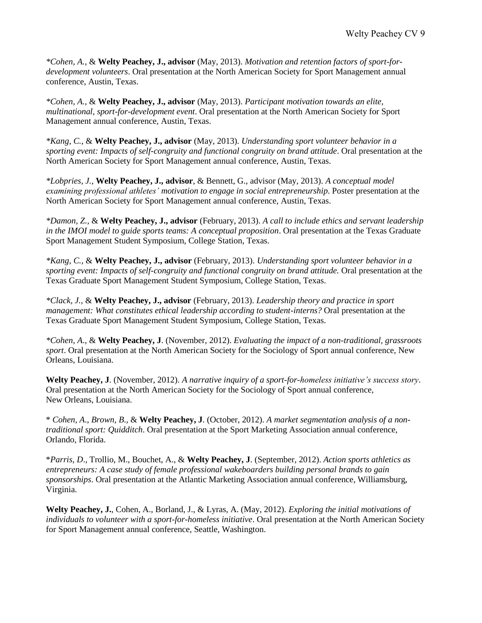*\*Cohen, A.*, & **Welty Peachey, J., advisor** (May, 2013). *Motivation and retention factors of sport-fordevelopment volunteers*. Oral presentation at the North American Society for Sport Management annual conference, Austin, Texas.

*\*Cohen, A.*, & **Welty Peachey, J., advisor** (May, 2013). *Participant motivation towards an elite, multinational, sport-for-development event*. Oral presentation at the North American Society for Sport Management annual conference, Austin, Texas.

*\*Kang, C.*, & **Welty Peachey, J., advisor** (May, 2013). *Understanding sport volunteer behavior in a sporting event: Impacts of self-congruity and functional congruity on brand attitude*. Oral presentation at the North American Society for Sport Management annual conference, Austin, Texas.

*\*Lobpries, J.*, **Welty Peachey, J., advisor**, & Bennett, G., advisor (May, 2013). *A conceptual model examining professional athletes' motivation to engage in social entrepreneurship*. Poster presentation at the North American Society for Sport Management annual conference, Austin, Texas.

*\*Damon, Z.,* & **Welty Peachey, J., advisor** (February, 2013). *A call to include ethics and servant leadership in the IMOI model to guide sports teams: A conceptual proposition*. Oral presentation at the Texas Graduate Sport Management Student Symposium, College Station, Texas.

*\*Kang, C.,* & **Welty Peachey, J., advisor** (February, 2013). *Understanding sport volunteer behavior in a sporting event: Impacts of self-congruity and functional congruity on brand attitude.* Oral presentation at the Texas Graduate Sport Management Student Symposium, College Station, Texas.

*\*Clack, J.,* & **Welty Peachey, J., advisor** (February, 2013). *Leadership theory and practice in sport management: What constitutes ethical leadership according to student-interns?* Oral presentation at the Texas Graduate Sport Management Student Symposium, College Station, Texas.

*\*Cohen, A*., & **Welty Peachey, J**. (November, 2012). *Evaluating the impact of a non-traditional, grassroots sport*. Oral presentation at the North American Society for the Sociology of Sport annual conference, New Orleans, Louisiana.

**Welty Peachey, J**. (November, 2012). *A narrative inquiry of a sport-for-homeless initiative's success story*. Oral presentation at the North American Society for the Sociology of Sport annual conference, New Orleans, Louisiana.

\* *Cohen, A*., *Brown, B*., & **Welty Peachey, J**. (October, 2012). *A market segmentation analysis of a nontraditional sport: Quidditch*. Oral presentation at the Sport Marketing Association annual conference, Orlando, Florida.

\**Parris, D*., Trollio, M., Bouchet, A., & **Welty Peachey, J**. (September, 2012). *Action sports athletics as entrepreneurs: A case study of female professional wakeboarders building personal brands to gain sponsorships*. Oral presentation at the Atlantic Marketing Association annual conference, Williamsburg, Virginia.

**Welty Peachey, J.**, Cohen, A., Borland, J., & Lyras, A. (May, 2012). *Exploring the initial motivations of individuals to volunteer with a sport-for-homeless initiative*. Oral presentation at the North American Society for Sport Management annual conference, Seattle, Washington.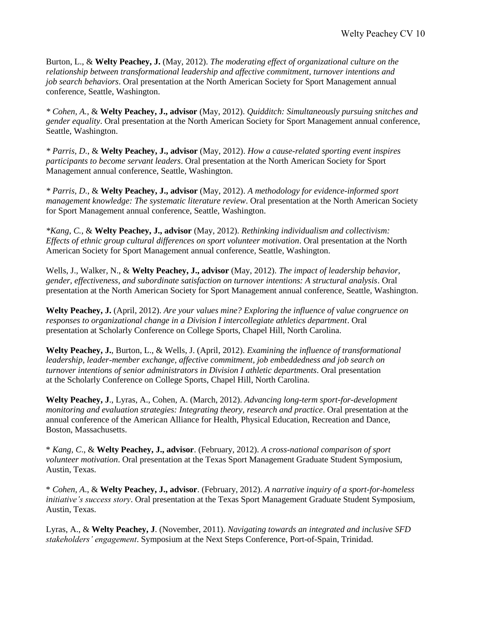Burton, L., & **Welty Peachey, J.** (May, 2012). *The moderating effect of organizational culture on the relationship between transformational leadership and affective commitment, turnover intentions and job search behaviors*. Oral presentation at the North American Society for Sport Management annual conference, Seattle, Washington.

*\* Cohen, A.*, & **Welty Peachey, J., advisor** (May, 2012). *Quidditch: Simultaneously pursuing snitches and gender equality*. Oral presentation at the North American Society for Sport Management annual conference, Seattle, Washington.

*\* Parris, D.*, & **Welty Peachey, J., advisor** (May, 2012). *How a cause-related sporting event inspires participants to become servant leaders*. Oral presentation at the North American Society for Sport Management annual conference, Seattle, Washington.

*\* Parris, D.*, & **Welty Peachey, J., advisor** (May, 2012). *A methodology for evidence-informed sport management knowledge: The systematic literature review*. Oral presentation at the North American Society for Sport Management annual conference, Seattle, Washington.

*\*Kang, C.*, & **Welty Peachey, J., advisor** (May, 2012). *Rethinking individualism and collectivism: Effects of ethnic group cultural differences on sport volunteer motivation*. Oral presentation at the North American Society for Sport Management annual conference, Seattle, Washington.

Wells, J., Walker, N., & **Welty Peachey, J., advisor** (May, 2012). *The impact of leadership behavior, gender, effectiveness, and subordinate satisfaction on turnover intentions: A structural analysis*. Oral presentation at the North American Society for Sport Management annual conference, Seattle, Washington.

**Welty Peachey, J.** (April, 2012). *Are your values mine? Exploring the influence of value congruence on responses to organizational change in a Division I intercollegiate athletics department*. Oral presentation at Scholarly Conference on College Sports, Chapel Hill, North Carolina.

**Welty Peachey, J.**, Burton, L., & Wells, J. (April, 2012). *Examining the influence of transformational leadership, leader-member exchange, affective commitment, job embeddedness and job search on turnover intentions of senior administrators in Division I athletic departments*. Oral presentation at the Scholarly Conference on College Sports, Chapel Hill, North Carolina.

**Welty Peachey, J**., Lyras, A., Cohen, A. (March, 2012). *Advancing long-term sport-for-development monitoring and evaluation strategies: Integrating theory, research and practice*. Oral presentation at the annual conference of the American Alliance for Health, Physical Education, Recreation and Dance, Boston, Massachusetts.

\* *Kang, C*., & **Welty Peachey, J., advisor**. (February, 2012). *A cross-national comparison of sport volunteer motivation*. Oral presentation at the Texas Sport Management Graduate Student Symposium, Austin, Texas.

\* *Cohen, A*., & **Welty Peachey, J., advisor**. (February, 2012). *A narrative inquiry of a sport-for-homeless initiative's success story*. Oral presentation at the Texas Sport Management Graduate Student Symposium, Austin, Texas.

Lyras, A., & **Welty Peachey, J**. (November, 2011). *Navigating towards an integrated and inclusive SFD stakeholders' engagement*. Symposium at the Next Steps Conference, Port-of-Spain, Trinidad.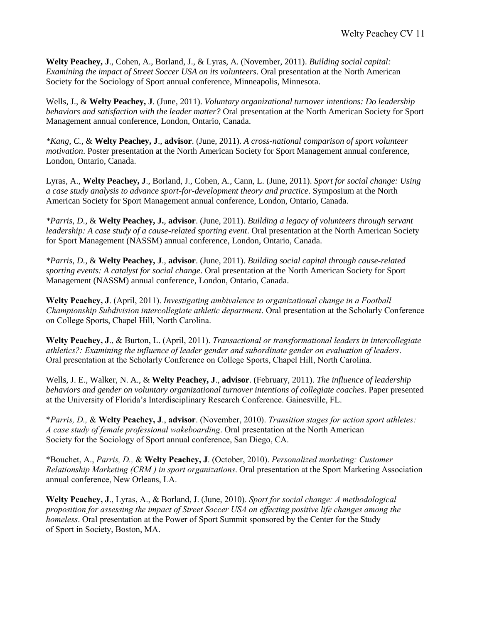**Welty Peachey, J**., Cohen, A., Borland, J., & Lyras, A. (November, 2011). *Building social capital: Examining the impact of Street Soccer USA on its volunteers*. Oral presentation at the North American Society for the Sociology of Sport annual conference, Minneapolis, Minnesota.

Wells, J., & **Welty Peachey, J**. (June, 2011). *Voluntary organizational turnover intentions: Do leadership behaviors and satisfaction with the leader matter?* Oral presentation at the North American Society for Sport Management annual conference, London, Ontario, Canada.

*\*Kang, C.,* & **Welty Peachey, J**., **advisor**. (June, 2011). *A cross-national comparison of sport volunteer motivation*. Poster presentation at the North American Society for Sport Management annual conference, London, Ontario, Canada.

Lyras, A., **Welty Peachey, J**., Borland, J., Cohen, A., Cann, L. (June, 2011). *Sport for social change: Using a case study analysis to advance sport-for-development theory and practice*. Symposium at the North American Society for Sport Management annual conference, London, Ontario, Canada.

*\*Parris, D.,* & **Welty Peachey, J.**, **advisor**. (June, 2011). *Building a legacy of volunteers through servant leadership: A case study of a cause-related sporting event*. Oral presentation at the North American Society for Sport Management (NASSM) annual conference, London, Ontario, Canada.

*\*Parris, D.,* & **Welty Peachey, J**., **advisor**. (June, 2011). *Building social capital through cause-related sporting events: A catalyst for social change*. Oral presentation at the North American Society for Sport Management (NASSM) annual conference, London, Ontario, Canada.

**Welty Peachey, J**. (April, 2011). *Investigating ambivalence to organizational change in a Football Championship Subdivision intercollegiate athletic department*. Oral presentation at the Scholarly Conference on College Sports, Chapel Hill, North Carolina.

**Welty Peachey, J**., & Burton, L. (April, 2011). *Transactional or transformational leaders in intercollegiate athletics?: Examining the influence of leader gender and subordinate gender on evaluation of leaders*. Oral presentation at the Scholarly Conference on College Sports, Chapel Hill, North Carolina.

Wells, J. E., Walker, N. A., & **Welty Peachey, J**., **advisor**. (February, 2011). *The influence of leadership behaviors and gender on voluntary organizational turnover intentions of collegiate coaches*. Paper presented at the University of Florida's Interdisciplinary Research Conference. Gainesville, FL.

\**Parris, D.,* & **Welty Peachey, J**., **advisor**. (November, 2010). *Transition stages for action sport athletes: A case study of female professional wakeboarding*. Oral presentation at the North American Society for the Sociology of Sport annual conference, San Diego, CA.

\*Bouchet, A., *Parris, D.,* & **Welty Peachey, J**. (October, 2010). *Personalized marketing: Customer Relationship Marketing (CRM ) in sport organizations*. Oral presentation at the Sport Marketing Association annual conference, New Orleans, LA.

**Welty Peachey, J**., Lyras, A., & Borland, J. (June, 2010). *Sport for social change: A methodological proposition for assessing the impact of Street Soccer USA on effecting positive life changes among the homeless*. Oral presentation at the Power of Sport Summit sponsored by the Center for the Study of Sport in Society, Boston, MA.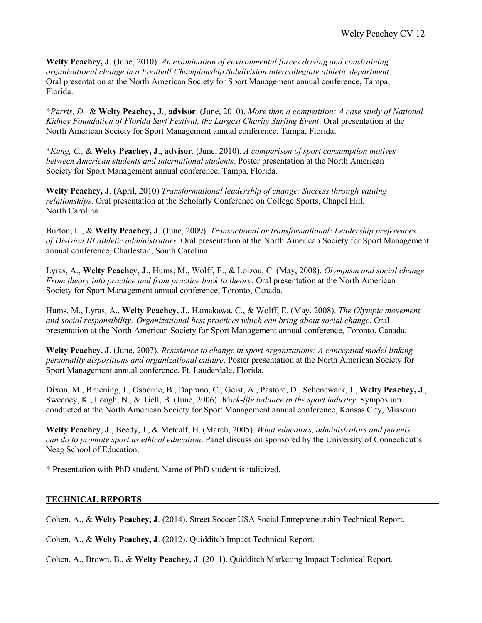**Welty Peachey, J**. (June, 2010). *An examination of environmental forces driving and constraining organizational change in a Football Championship Subdivision intercollegiate athletic department*. Oral presentation at the North American Society for Sport Management annual conference, Tampa, Florida.

\**Parris, D.,* & **Welty Peachey, J**., **advisor**. (June, 2010). *More than a competition: A case study of National Kidney Foundation of Florida Surf Festival, the Largest Charity Surfing Event*. Oral presentation at the North American Society for Sport Management annual conference, Tampa, Florida.

\**Kang, C.,* & **Welty Peachey, J**., **advisor**. (June, 2010). *A comparison of sport consumption motives between American students and international students*. Poster presentation at the North American Society for Sport Management annual conference, Tampa, Florida.

**Welty Peachey, J**. (April, 2010) *Transformational leadership of change: Success through valuing relationships*. Oral presentation at the Scholarly Conference on College Sports, Chapel Hill, North Carolina.

Burton, L., & **Welty Peachey, J**. (June, 2009). *Transactional or transformational: Leadership preferences of Division III athletic administrators*. Oral presentation at the North American Society for Sport Management annual conference, Charleston, South Carolina.

Lyras, A., **Welty Peachey, J**., Hums, M., Wolff, E., & Loizou, C. (May, 2008). *Olympism and social change: From theory into practice and from practice back to theory*. Oral presentation at the North American Society for Sport Management annual conference, Toronto, Canada.

Hums, M., Lyras, A., **Welty Peachey, J**., Hamakawa, C., & Wolff, E. (May, 2008). *The Olympic movement and social responsibility: Organizational best practices which can bring about social change*. Oral presentation at the North American Society for Sport Management annual conference, Toronto, Canada.

**Welty Peachey, J**. (June, 2007). *Resistance to change in sport organizations: A conceptual model linking personality dispositions and organizational culture*. Poster presentation at the North American Society for Sport Management annual conference, Ft. Lauderdale, Florida.

Dixon, M., Bruening, J., Osborne, B., Daprano, C., Geist, A., Pastore, D., Schenewark, J., **Welty Peachey, J**., Sweeney, K., Lough, N., & Tiell, B. (June, 2006). *Work-life balance in the sport industry*. Symposium conducted at the North American Society for Sport Management annual conference, Kansas City, Missouri.

**Welty Peachey**, **J**., Beedy, J., & Metcalf, H. (March, 2005). *What educators, administrators and parents can do to promote sport as ethical education*. Panel discussion sponsored by the University of Connecticut's Neag School of Education.

\* Presentation with PhD student. Name of PhD student is italicized.

### **TECHNICAL REPORTS**

Cohen, A., & **Welty Peachey, J**. (2014). Street Soccer USA Social Entrepreneurship Technical Report.

Cohen, A., & **Welty Peachey, J**. (2012). Quidditch Impact Technical Report.

Cohen, A., Brown, B., & **Welty Peachey, J**. (2011). Quidditch Marketing Impact Technical Report.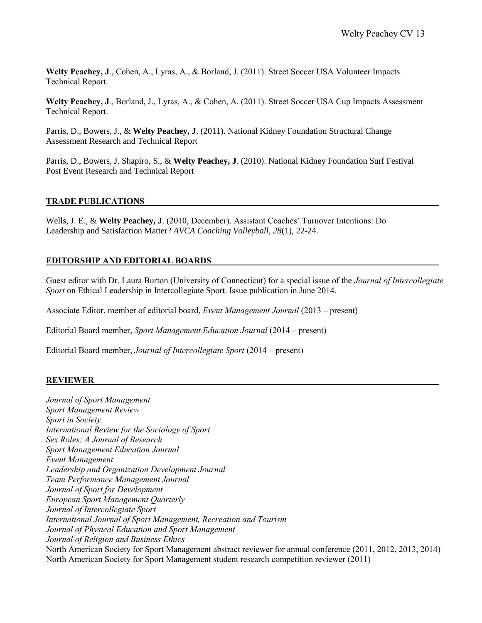**Welty Peachey, J**., Cohen, A., Lyras, A., & Borland, J. (2011). Street Soccer USA Volunteer Impacts Technical Report.

**Welty Peachey, J**., Borland, J., Lyras, A., & Cohen, A. (2011). Street Soccer USA Cup Impacts Assessment Technical Report.

Parris, D., Bowers, J., & **Welty Peachey, J**. (2011). National Kidney Foundation Structural Change Assessment Research and Technical Report

Parris, D., Bowers, J. Shapiro, S., & **Welty Peachey, J**. (2010). National Kidney Foundation Surf Festival Post Event Research and Technical Report

#### **TRADE PUBLICATIONS**

Wells, J. E., & **Welty Peachey, J**. (2010, December). Assistant Coaches' Turnover Intentions: Do Leadership and Satisfaction Matter? *AVCA Coaching Volleyball, 28*(1), 22-24.

### **EDITORSHIP AND EDITORIAL BOARDS**

Guest editor with Dr. Laura Burton (University of Connecticut) for a special issue of the *Journal of Intercollegiate Sport* on Ethical Leadership in Intercollegiate Sport. Issue publication in June 2014.

Associate Editor, member of editorial board, *Event Management Journal* (2013 – present)

Editorial Board member, *Sport Management Education Journal* (2014 – present)

Editorial Board member, *Journal of Intercollegiate Sport* (2014 – present)

#### **REVIEWER**

*Journal of Sport Management Sport Management Review Sport in Society International Review for the Sociology of Sport Sex Roles: A Journal of Research Sport Management Education Journal Event Management Leadership and Organization Development Journal Team Performance Management Journal Journal of Sport for Development European Sport Management Quarterly Journal of Intercollegiate Sport International Journal of Sport Management, Recreation and Tourism Journal of Physical Education and Sport Management Journal of Religion and Business Ethics* North American Society for Sport Management abstract reviewer for annual conference (2011, 2012, 2013, 2014) North American Society for Sport Management student research competition reviewer (2011)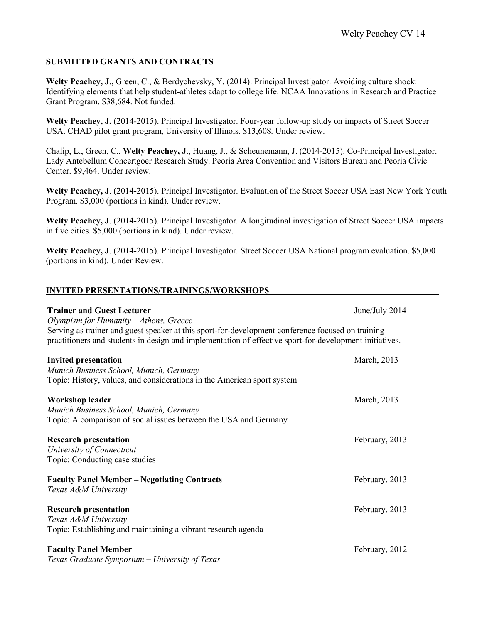## **SUBMITTED GRANTS AND CONTRACTS**

**INVITED PRESENTATIONS/TRAININGS/WORKSHOPS**

**Welty Peachey, J**., Green, C., & Berdychevsky, Y. (2014). Principal Investigator. Avoiding culture shock: Identifying elements that help student-athletes adapt to college life. NCAA Innovations in Research and Practice Grant Program. \$38,684. Not funded.

Welty Peachey, J. (2014-2015). Principal Investigator. Four-year follow-up study on impacts of Street Soccer USA. CHAD pilot grant program, University of Illinois. \$13,608. Under review.

Chalip, L., Green, C., **Welty Peachey, J**., Huang, J., & Scheunemann, J. (2014-2015). Co-Principal Investigator. Lady Antebellum Concertgoer Research Study. Peoria Area Convention and Visitors Bureau and Peoria Civic Center. \$9,464. Under review.

**Welty Peachey, J**. (2014-2015). Principal Investigator. Evaluation of the Street Soccer USA East New York Youth Program. \$3,000 (portions in kind). Under review.

**Welty Peachey, J**. (2014-2015). Principal Investigator. A longitudinal investigation of Street Soccer USA impacts in five cities. \$5,000 (portions in kind). Under review.

**Welty Peachey, J**. (2014-2015). Principal Investigator. Street Soccer USA National program evaluation. \$5,000 (portions in kind). Under Review.

# **Trainer and Guest Lecturer**  $J$ une/July 2014 *Olympism for Humanity – Athens, Greece* Serving as trainer and guest speaker at this sport-for-development conference focused on training practitioners and students in design and implementation of effective sport-for-development initiatives. **Invited presentation** March, 2013 *Munich Business School, Munich, Germany* Topic: History, values, and considerations in the American sport system **Workshop leader** March, 2013 *Munich Business School, Munich, Germany* Topic: A comparison of social issues between the USA and Germany **Research presentation** February, 2013 *University of Connecticut* Topic: Conducting case studies **Faculty Panel Member – Negotiating Contracts** February, 2013 *Texas A&M University* **Research presentation** February, 2013 *Texas A&M University* Topic: Establishing and maintaining a vibrant research agenda **Faculty Panel Member** February, 2012 *Texas Graduate Symposium – University of Texas*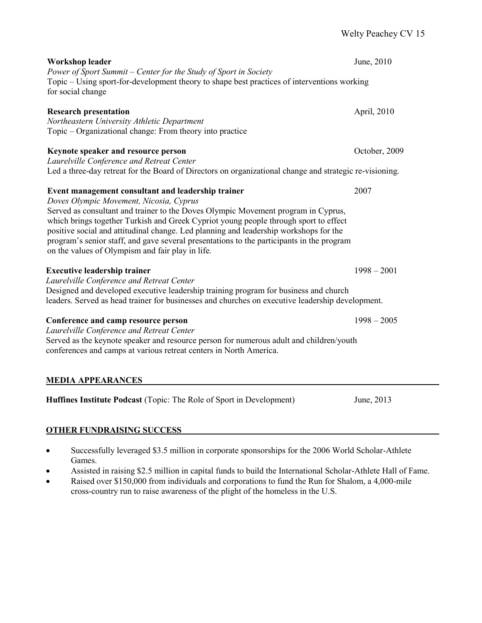| <b>Workshop leader</b><br>Power of Sport Summit - Center for the Study of Sport in Society<br>Topic – Using sport-for-development theory to shape best practices of interventions working<br>for social change                                                                                                                                                                                                                                                                                                       | June, 2010    |
|----------------------------------------------------------------------------------------------------------------------------------------------------------------------------------------------------------------------------------------------------------------------------------------------------------------------------------------------------------------------------------------------------------------------------------------------------------------------------------------------------------------------|---------------|
| <b>Research presentation</b><br>Northeastern University Athletic Department<br>Topic – Organizational change: From theory into practice                                                                                                                                                                                                                                                                                                                                                                              | April, 2010   |
| Keynote speaker and resource person<br>Laurelville Conference and Retreat Center<br>Led a three-day retreat for the Board of Directors on organizational change and strategic re-visioning.                                                                                                                                                                                                                                                                                                                          | October, 2009 |
| Event management consultant and leadership trainer<br>Doves Olympic Movement, Nicosia, Cyprus<br>Served as consultant and trainer to the Doves Olympic Movement program in Cyprus,<br>which brings together Turkish and Greek Cypriot young people through sport to effect<br>positive social and attitudinal change. Led planning and leadership workshops for the<br>program's senior staff, and gave several presentations to the participants in the program<br>on the values of Olympism and fair play in life. | 2007          |
| <b>Executive leadership trainer</b><br>Laurelville Conference and Retreat Center<br>Designed and developed executive leadership training program for business and church<br>leaders. Served as head trainer for businesses and churches on executive leadership development.                                                                                                                                                                                                                                         | $1998 - 2001$ |
| Conference and camp resource person<br>Laurelville Conference and Retreat Center<br>Served as the keynote speaker and resource person for numerous adult and children/youth<br>conferences and camps at various retreat centers in North America.                                                                                                                                                                                                                                                                    | $1998 - 2005$ |
| <b>MEDIA APPEARANCES</b><br>Huffines Institute Podcast (Topic: The Role of Sport in Development)                                                                                                                                                                                                                                                                                                                                                                                                                     | June, 2013    |
|                                                                                                                                                                                                                                                                                                                                                                                                                                                                                                                      |               |

## **OTHER FUNDRAISING SUCCESS**

- Successfully leveraged \$3.5 million in corporate sponsorships for the 2006 World Scholar-Athlete Games.
- Assisted in raising \$2.5 million in capital funds to build the International Scholar-Athlete Hall of Fame.
- Raised over \$150,000 from individuals and corporations to fund the Run for Shalom, a 4,000-mile cross-country run to raise awareness of the plight of the homeless in the U.S.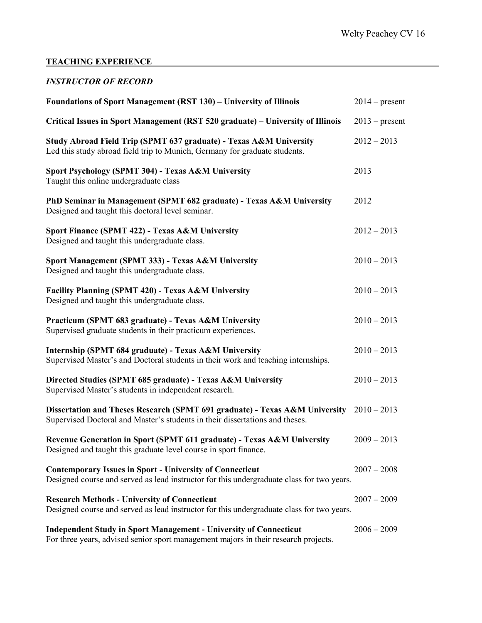## **TEACHING EXPERIENCE**

## *INSTRUCTOR OF RECORD*

| <b>Foundations of Sport Management (RST 130) – University of Illinois</b>                                                                                       | $2014$ – present |
|-----------------------------------------------------------------------------------------------------------------------------------------------------------------|------------------|
| Critical Issues in Sport Management (RST 520 graduate) – University of Illinois                                                                                 | $2013$ – present |
| Study Abroad Field Trip (SPMT 637 graduate) - Texas A&M University<br>Led this study abroad field trip to Munich, Germany for graduate students.                | $2012 - 2013$    |
| Sport Psychology (SPMT 304) - Texas A&M University<br>Taught this online undergraduate class                                                                    | 2013             |
| PhD Seminar in Management (SPMT 682 graduate) - Texas A&M University<br>Designed and taught this doctoral level seminar.                                        | 2012             |
| Sport Finance (SPMT 422) - Texas A&M University<br>Designed and taught this undergraduate class.                                                                | $2012 - 2013$    |
| Sport Management (SPMT 333) - Texas A&M University<br>Designed and taught this undergraduate class.                                                             | $2010 - 2013$    |
| Facility Planning (SPMT 420) - Texas A&M University<br>Designed and taught this undergraduate class.                                                            | $2010 - 2013$    |
| Practicum (SPMT 683 graduate) - Texas A&M University<br>Supervised graduate students in their practicum experiences.                                            | $2010 - 2013$    |
| Internship (SPMT 684 graduate) - Texas A&M University<br>Supervised Master's and Doctoral students in their work and teaching internships.                      | $2010 - 2013$    |
| Directed Studies (SPMT 685 graduate) - Texas A&M University<br>Supervised Master's students in independent research.                                            | $2010 - 2013$    |
| Dissertation and Theses Research (SPMT 691 graduate) - Texas A&M University<br>Supervised Doctoral and Master's students in their dissertations and theses.     | $2010 - 2013$    |
| Revenue Generation in Sport (SPMT 611 graduate) - Texas A&M University<br>Designed and taught this graduate level course in sport finance.                      | $2009 - 2013$    |
| <b>Contemporary Issues in Sport - University of Connecticut</b><br>Designed course and served as lead instructor for this undergraduate class for two years.    | $2007 - 2008$    |
| <b>Research Methods - University of Connecticut</b><br>Designed course and served as lead instructor for this undergraduate class for two years.                | $2007 - 2009$    |
| <b>Independent Study in Sport Management - University of Connecticut</b><br>For three years, advised senior sport management majors in their research projects. | $2006 - 2009$    |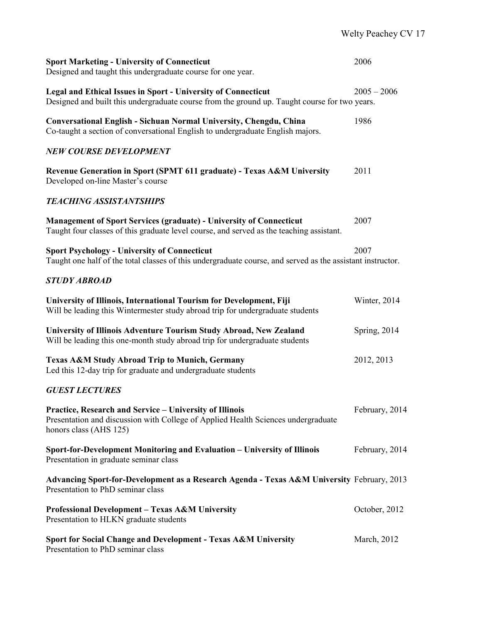| <b>Sport Marketing - University of Connecticut</b><br>Designed and taught this undergraduate course for one year.                                                      | 2006           |
|------------------------------------------------------------------------------------------------------------------------------------------------------------------------|----------------|
| <b>Legal and Ethical Issues in Sport - University of Connecticut</b><br>Designed and built this undergraduate course from the ground up. Taught course for two years.  | $2005 - 2006$  |
| Conversational English - Sichuan Normal University, Chengdu, China<br>Co-taught a section of conversational English to undergraduate English majors.                   | 1986           |
| <b>NEW COURSE DEVELOPMENT</b>                                                                                                                                          |                |
| Revenue Generation in Sport (SPMT 611 graduate) - Texas A&M University<br>Developed on-line Master's course                                                            | 2011           |
| <b>TEACHING ASSISTANTSHIPS</b>                                                                                                                                         |                |
| <b>Management of Sport Services (graduate) - University of Connecticut</b><br>Taught four classes of this graduate level course, and served as the teaching assistant. | 2007           |
| <b>Sport Psychology - University of Connecticut</b><br>Taught one half of the total classes of this undergraduate course, and served as the assistant instructor.      | 2007           |
| <b>STUDY ABROAD</b>                                                                                                                                                    |                |
| University of Illinois, International Tourism for Development, Fiji<br>Will be leading this Wintermester study abroad trip for undergraduate students                  | Winter, 2014   |
| University of Illinois Adventure Tourism Study Abroad, New Zealand<br>Will be leading this one-month study abroad trip for undergraduate students                      | Spring, 2014   |
| Texas A&M Study Abroad Trip to Munich, Germany<br>Led this 12-day trip for graduate and undergraduate students                                                         | 2012, 2013     |
| <b>GUEST LECTURES</b>                                                                                                                                                  |                |
| Practice, Research and Service - University of Illinois<br>Presentation and discussion with College of Applied Health Sciences undergraduate<br>honors class (AHS 125) | February, 2014 |
| Sport-for-Development Monitoring and Evaluation - University of Illinois<br>Presentation in graduate seminar class                                                     | February, 2014 |
| Advancing Sport-for-Development as a Research Agenda - Texas A&M University February, 2013<br>Presentation to PhD seminar class                                        |                |
| <b>Professional Development - Texas A&amp;M University</b><br>Presentation to HLKN graduate students                                                                   | October, 2012  |
| Sport for Social Change and Development - Texas A&M University<br>Presentation to PhD seminar class                                                                    | March, 2012    |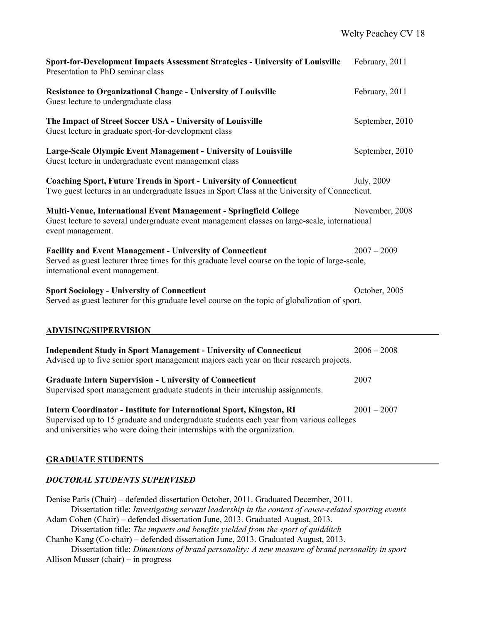| Sport-for-Development Impacts Assessment Strategies - University of Louisville<br>Presentation to PhD seminar class                                                                                                                         | February, 2011  |
|---------------------------------------------------------------------------------------------------------------------------------------------------------------------------------------------------------------------------------------------|-----------------|
| <b>Resistance to Organizational Change - University of Louisville</b><br>Guest lecture to undergraduate class                                                                                                                               | February, 2011  |
| The Impact of Street Soccer USA - University of Louisville<br>Guest lecture in graduate sport-for-development class                                                                                                                         | September, 2010 |
| Large-Scale Olympic Event Management - University of Louisville<br>Guest lecture in undergraduate event management class                                                                                                                    | September, 2010 |
| <b>Coaching Sport, Future Trends in Sport - University of Connecticut</b><br>Two guest lectures in an undergraduate Issues in Sport Class at the University of Connecticut.                                                                 | July, 2009      |
| Multi-Venue, International Event Management - Springfield College<br>Guest lecture to several undergraduate event management classes on large-scale, international<br>event management.                                                     | November, 2008  |
| <b>Facility and Event Management - University of Connecticut</b><br>Served as guest lecturer three times for this graduate level course on the topic of large-scale,<br>international event management.                                     | $2007 - 2009$   |
| <b>Sport Sociology - University of Connecticut</b><br>Served as guest lecturer for this graduate level course on the topic of globalization of sport.                                                                                       | October, 2005   |
| <b>ADVISING/SUPERVISION</b>                                                                                                                                                                                                                 |                 |
| <b>Independent Study in Sport Management - University of Connecticut</b><br>Advised up to five senior sport management majors each year on their research projects.                                                                         | $2006 - 2008$   |
| <b>Graduate Intern Supervision - University of Connecticut</b><br>Supervised sport management graduate students in their internship assignments.                                                                                            | 2007            |
| Intern Coordinator - Institute for International Sport, Kingston, RI<br>Supervised up to 15 graduate and undergraduate students each year from various colleges<br>and universities who were doing their internships with the organization. | $2001 - 2007$   |

## **GRADUATE STUDENTS**

## *DOCTORAL STUDENTS SUPERVISED*

Denise Paris (Chair) – defended dissertation October, 2011. Graduated December, 2011. Dissertation title: *Investigating servant leadership in the context of cause-related sporting events* Adam Cohen (Chair) – defended dissertation June, 2013. Graduated August, 2013. Dissertation title: *The impacts and benefits yielded from the sport of quidditch* Chanho Kang (Co-chair) – defended dissertation June, 2013. Graduated August, 2013. Dissertation title: *Dimensions of brand personality: A new measure of brand personality in sport* Allison Musser (chair) – in progress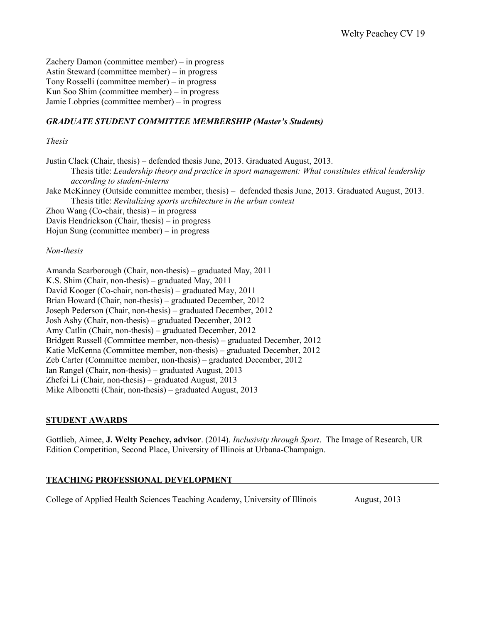Zachery Damon (committee member) – in progress Astin Steward (committee member) – in progress Tony Rosselli (committee member) – in progress Kun Soo Shim (committee member) – in progress Jamie Lobpries (committee member) – in progress

## *GRADUATE STUDENT COMMITTEE MEMBERSHIP (Master's Students)*

#### *Thesis*

Justin Clack (Chair, thesis) – defended thesis June, 2013. Graduated August, 2013. Thesis title: *Leadership theory and practice in sport management: What constitutes ethical leadership according to student-interns* Jake McKinney (Outside committee member, thesis) – defended thesis June, 2013. Graduated August, 2013.

Thesis title: *Revitalizing sports architecture in the urban context*

Zhou Wang (Co-chair, thesis) – in progress

Davis Hendrickson (Chair, thesis) – in progress

Hojun Sung (committee member) – in progress

#### *Non-thesis*

Amanda Scarborough (Chair, non-thesis) – graduated May, 2011 K.S. Shim (Chair, non-thesis) – graduated May, 2011 David Kooger (Co-chair, non-thesis) – graduated May, 2011 Brian Howard (Chair, non-thesis) – graduated December, 2012 Joseph Pederson (Chair, non-thesis) – graduated December, 2012 Josh Ashy (Chair, non-thesis) – graduated December, 2012 Amy Catlin (Chair, non-thesis) – graduated December, 2012 Bridgett Russell (Committee member, non-thesis) – graduated December, 2012 Katie McKenna (Committee member, non-thesis) – graduated December, 2012 Zeb Carter (Committee member, non-thesis) – graduated December, 2012 Ian Rangel (Chair, non-thesis) – graduated August, 2013 Zhefei Li (Chair, non-thesis) – graduated August, 2013 Mike Albonetti (Chair, non-thesis) – graduated August, 2013

#### **STUDENT AWARDS**

Gottlieb, Aimee, **J. Welty Peachey, advisor**. (2014). *Inclusivity through Sport*. The Image of Research, UR Edition Competition, Second Place, University of Illinois at Urbana-Champaign.

### **TEACHING PROFESSIONAL DEVELOPMENT**

College of Applied Health Sciences Teaching Academy, University of Illinois August, 2013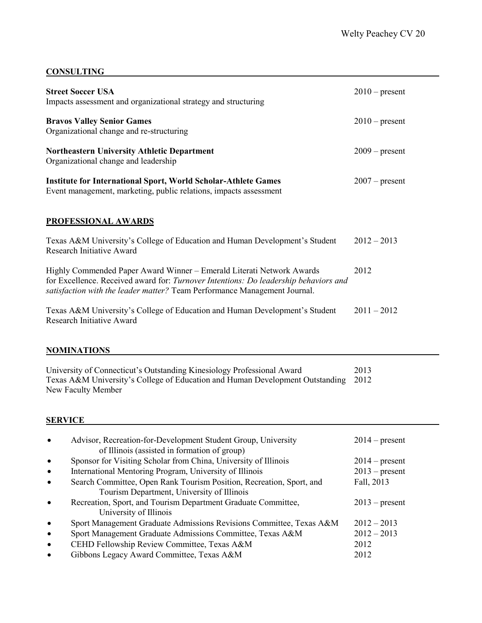## **CONSULTING**

| <b>Street Soccer USA</b><br>Impacts assessment and organizational strategy and structuring                                                                                                                                                 | $2010$ – present |
|--------------------------------------------------------------------------------------------------------------------------------------------------------------------------------------------------------------------------------------------|------------------|
| <b>Bravos Valley Senior Games</b><br>Organizational change and re-structuring                                                                                                                                                              | $2010$ – present |
| <b>Northeastern University Athletic Department</b><br>Organizational change and leadership                                                                                                                                                 | $2009$ – present |
| <b>Institute for International Sport, World Scholar-Athlete Games</b><br>Event management, marketing, public relations, impacts assessment                                                                                                 | $2007$ – present |
| PROFESSIONAL AWARDS                                                                                                                                                                                                                        |                  |
| Texas A&M University's College of Education and Human Development's Student<br><b>Research Initiative Award</b>                                                                                                                            | $2012 - 2013$    |
| Highly Commended Paper Award Winner – Emerald Literati Network Awards<br>for Excellence. Received award for: Turnover Intentions: Do leadership behaviors and<br>satisfaction with the leader matter? Team Performance Management Journal. | 2012             |
| Texas A&M University's College of Education and Human Development's Student<br><b>Research Initiative Award</b>                                                                                                                            | $2011 - 2012$    |

## **NOMINATIONS**

| University of Connecticut's Outstanding Kinesiology Professional Award             | 2013 |
|------------------------------------------------------------------------------------|------|
| Texas A&M University's College of Education and Human Development Outstanding 2012 |      |
| New Faculty Member                                                                 |      |

# **SERVICE**

| $\bullet$ | Advisor, Recreation-for-Development Student Group, University<br>of Illinois (assisted in formation of group)      | $2014$ – present |
|-----------|--------------------------------------------------------------------------------------------------------------------|------------------|
| $\bullet$ | Sponsor for Visiting Scholar from China, University of Illinois                                                    | $2014$ – present |
| $\bullet$ | International Mentoring Program, University of Illinois                                                            | $2013$ – present |
| $\bullet$ | Search Committee, Open Rank Tourism Position, Recreation, Sport, and<br>Tourism Department, University of Illinois | Fall, 2013       |
| $\bullet$ | Recreation, Sport, and Tourism Department Graduate Committee,<br>University of Illinois                            | $2013$ – present |
| $\bullet$ | Sport Management Graduate Admissions Revisions Committee, Texas A&M                                                | $2012 - 2013$    |
| $\bullet$ | Sport Management Graduate Admissions Committee, Texas A&M                                                          | $2012 - 2013$    |
| $\bullet$ | CEHD Fellowship Review Committee, Texas A&M                                                                        | 2012             |
| $\bullet$ | Gibbons Legacy Award Committee, Texas A&M                                                                          | 2012             |